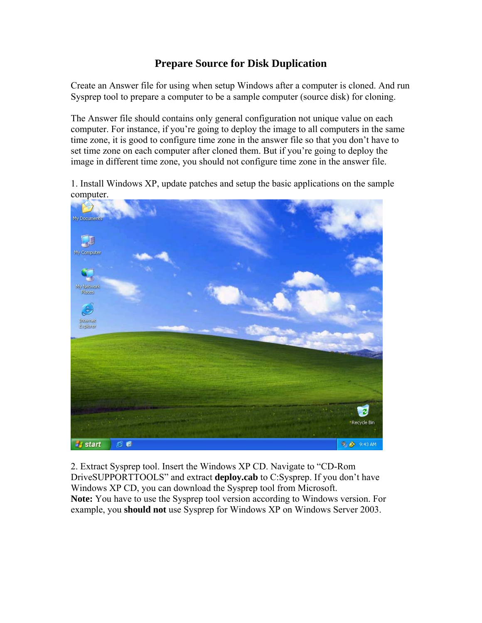# **Prepare Source for Disk Duplication**

Create an Answer file for using when setup Windows after a computer is cloned. And run Sysprep tool to prepare a computer to be a sample computer (source disk) for cloning.

The Answer file should contains only general configuration not unique value on each computer. For instance, if you're going to deploy the image to all computers in the same time zone, it is good to configure time zone in the answer file so that you don't have to set time zone on each computer after cloned them. But if you're going to deploy the image in different time zone, you should not configure time zone in the answer file.

1. Install Windows XP, update patches and setup the basic applications on the sample computer.



2. Extract Sysprep tool. Insert the Windows XP CD. Navigate to "CD-Rom DriveSUPPORTTOOLS" and extract **deploy.cab** to C:Sysprep. If you don't have Windows XP CD, you can download the Sysprep tool from Microsoft. **Note:** You have to use the Sysprep tool version according to Windows version. For example, you **should not** use Sysprep for Windows XP on Windows Server 2003.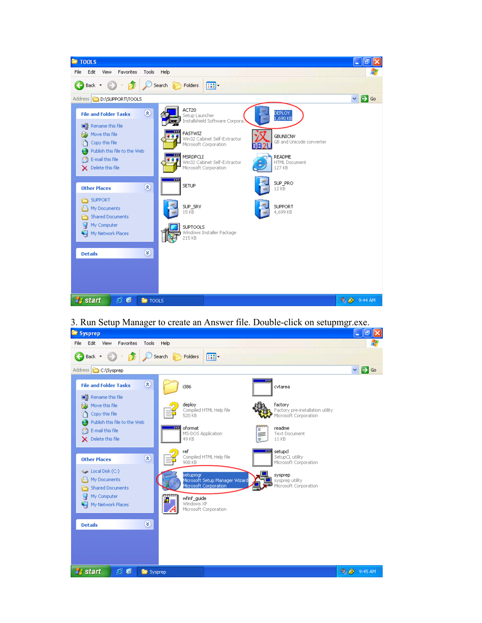

3. Run Setup Manager to create an Answer file. Double-click on setupmgr.exe.

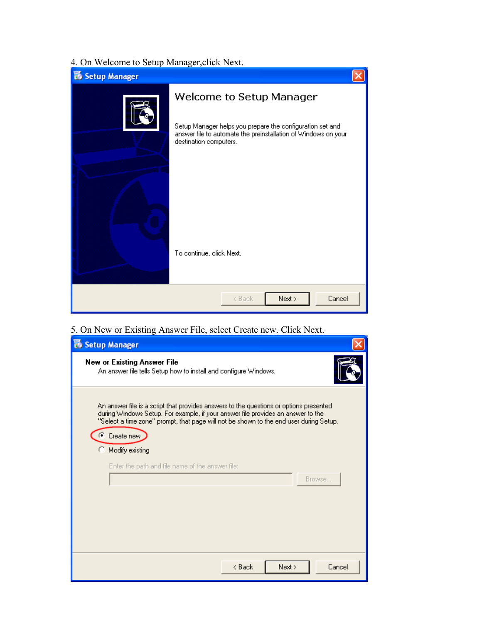# 4. On Welcome to Setup Manager,click Next.

| Setup Manager |                                                                                                                                                       |
|---------------|-------------------------------------------------------------------------------------------------------------------------------------------------------|
|               | Welcome to Setup Manager                                                                                                                              |
|               | Setup Manager helps you prepare the configuration set and<br>answer file to automate the preinstallation of Windows on your<br>destination computers. |
|               |                                                                                                                                                       |
|               | To continue, click Next.                                                                                                                              |
|               | Cancel<br>Next ><br>< Back                                                                                                                            |

5. On New or Existing Answer File, select Create new. Click Next.

| Setup Manager                                                                                                                                                                                                                                                                        |
|--------------------------------------------------------------------------------------------------------------------------------------------------------------------------------------------------------------------------------------------------------------------------------------|
| <b>New or Existing Answer File</b><br>An answer file tells Setup how to install and configure Windows.                                                                                                                                                                               |
| An answer file is a script that provides answers to the questions or options presented<br>during Windows Setup. For example, if your answer file provides an answer to the<br>"Select a time zone" prompt, that page will not be shown to the end user during Setup.<br>C Create new |
| Modify existing                                                                                                                                                                                                                                                                      |
| Enter the path and file name of the answer file:                                                                                                                                                                                                                                     |
| Browse                                                                                                                                                                                                                                                                               |
|                                                                                                                                                                                                                                                                                      |
|                                                                                                                                                                                                                                                                                      |
|                                                                                                                                                                                                                                                                                      |
|                                                                                                                                                                                                                                                                                      |
| Next ><br>Cancel<br>< Back                                                                                                                                                                                                                                                           |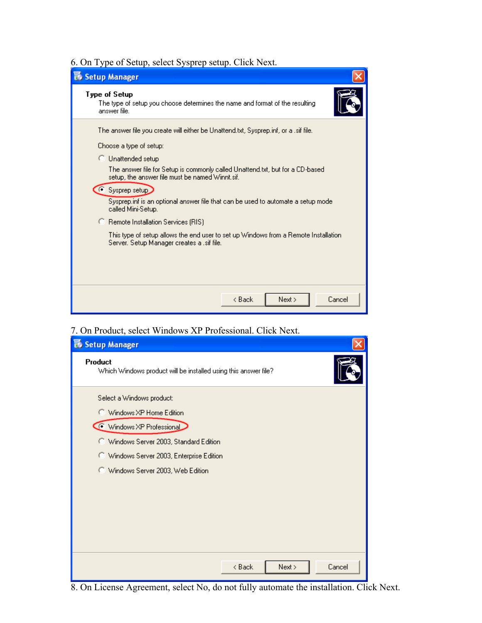# 6. On Type of Setup, select Sysprep setup. Click Next.

| Setup Manager                                                                                                                                                                                                                                                                                                                                                                                            |
|----------------------------------------------------------------------------------------------------------------------------------------------------------------------------------------------------------------------------------------------------------------------------------------------------------------------------------------------------------------------------------------------------------|
| Type of Setup<br>The type of setup you choose determines the name and format of the resulting<br>answer file.                                                                                                                                                                                                                                                                                            |
| The answer file you create will either be Unattend.txt, Sysprep.inf, or a .sif file.<br>Choose a type of setup:<br>C Unattended setup<br>The answer file for Setup is commonly called Unattend.txt, but for a CD-based<br>setup, the answer file must be named Winnt.sif.<br>● Sysprep setup><br>Sysprep.inf is an optional answer file that can be used to automate a setup mode.<br>called Mini-Setup. |
| <b>C</b> Remote Installation Services (RIS)<br>This type of setup allows the end user to set up Windows from a Remote Installation.<br>Server, Setup Manager creates a .sif file.<br>< Back<br>Cancel<br>Next >                                                                                                                                                                                          |

## 7. On Product, select Windows XP Professional. Click Next.

| Setup Manager                                                              |  |  |
|----------------------------------------------------------------------------|--|--|
| Product<br>Which Windows product will be installed using this answer file? |  |  |
| Select a Windows product:                                                  |  |  |
| Windows XP Home Edition                                                    |  |  |
| Windows XP Professional                                                    |  |  |
| C Windows Server 2003, Standard Edition                                    |  |  |
| C Windows Server 2003, Enterprise Edition                                  |  |  |
| C Windows Server 2003, Web Edition                                         |  |  |
|                                                                            |  |  |
|                                                                            |  |  |
|                                                                            |  |  |
|                                                                            |  |  |
|                                                                            |  |  |
| Cancel<br>Next ><br>$8$ Back                                               |  |  |

# 8. On License Agreement, select No, do not fully automate the installation. Click Next.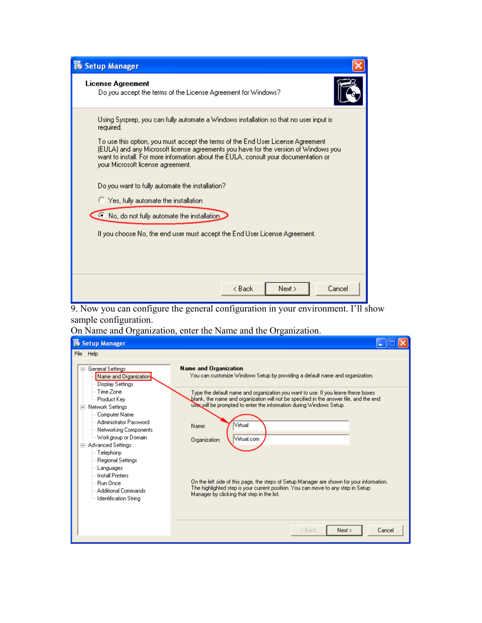| Setup Manager                                                                                                                                                                                                                                                                                      |                          |  |
|----------------------------------------------------------------------------------------------------------------------------------------------------------------------------------------------------------------------------------------------------------------------------------------------------|--------------------------|--|
| License Agreement<br>Do you accept the terms of the License Agreement for Windows?                                                                                                                                                                                                                 |                          |  |
| Using Sysprep, you can fully automate a Windows installation so that no user input is<br>required.                                                                                                                                                                                                 |                          |  |
| To use this option, you must accept the terms of the End User License Agreement<br>(EULA) and any Microsoft license agreements you have for the version of Windows you<br>want to install. For more information about the EULA, consult your documentation or<br>your Microsoft license agreement. |                          |  |
| Do you want to fully automate the installation?                                                                                                                                                                                                                                                    |                          |  |
| <sup>1</sup> Yes, fully automate the installation                                                                                                                                                                                                                                                  |                          |  |
| No, do not fully automate the installation                                                                                                                                                                                                                                                         |                          |  |
| If you choose No, the end user must accept the End User License Agreement.                                                                                                                                                                                                                         |                          |  |
|                                                                                                                                                                                                                                                                                                    |                          |  |
|                                                                                                                                                                                                                                                                                                    |                          |  |
|                                                                                                                                                                                                                                                                                                    |                          |  |
|                                                                                                                                                                                                                                                                                                    | < Back<br>Next<br>Cancel |  |

 9. Now you can configure the general configuration in your environment. I'll show sample configuration.

On Name and Organization, enter the Name and the Organization.

| Setup Manager                                                                                                                                                                                                                                                                                                                                                                                          |                                                                                                                                                                                                                                                                                                                                                                                                                                                                                                                                                                                                                                                        |
|--------------------------------------------------------------------------------------------------------------------------------------------------------------------------------------------------------------------------------------------------------------------------------------------------------------------------------------------------------------------------------------------------------|--------------------------------------------------------------------------------------------------------------------------------------------------------------------------------------------------------------------------------------------------------------------------------------------------------------------------------------------------------------------------------------------------------------------------------------------------------------------------------------------------------------------------------------------------------------------------------------------------------------------------------------------------------|
| File Help                                                                                                                                                                                                                                                                                                                                                                                              |                                                                                                                                                                                                                                                                                                                                                                                                                                                                                                                                                                                                                                                        |
| □ General Settings<br>Name and Organization<br>Display Settings<br>Time Zone<br>Product Key<br>Network Settings<br>$\Box$<br>Computer Name<br>Administrator Password<br>Networking Components<br>Workgroup or Domain<br>Advanced Settings<br>Ė<br>--- Telephony<br>Regional Settings<br>Languages<br><b>Install Printers</b><br><b>Bun Once</b><br>Additional Commands<br><b>Identification String</b> | <b>Name and Organization</b><br>You can customize Windows Setup by providing a default name and organization.<br>Type the default name and organization you want to use. If you leave these boxes<br>blank, the name and organization will not be specified in the answer file, and the end<br>user will be prompted to enter the information during Windows Setup.<br>Virtual<br>Name:<br>Virtual.com<br>Organization:<br>On the left side of this page, the steps of Setup Manager are shown for your information.<br>The highlighted step is your current position. You can move to any step in Setup<br>Manager by clicking that step in the list. |
|                                                                                                                                                                                                                                                                                                                                                                                                        | Cancel<br>Next<br>< Back                                                                                                                                                                                                                                                                                                                                                                                                                                                                                                                                                                                                                               |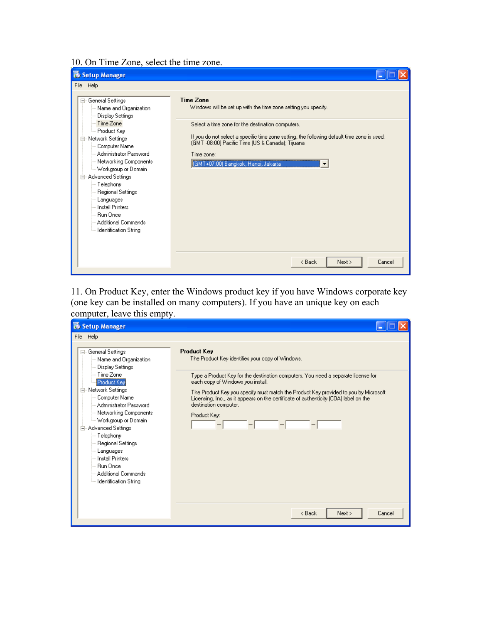### 10. On Time Zone, select the time zone.



11. On Product Key, enter the Windows product key if you have Windows corporate key (one key can be installed on many computers). If you have an unique key on each computer, leave this empty.

| Setup Manager                                                                                                                                                                                                                                                                                                                                                                                                                                                                                                                                                                                                                                                                                                                                                                                                                                                  |
|----------------------------------------------------------------------------------------------------------------------------------------------------------------------------------------------------------------------------------------------------------------------------------------------------------------------------------------------------------------------------------------------------------------------------------------------------------------------------------------------------------------------------------------------------------------------------------------------------------------------------------------------------------------------------------------------------------------------------------------------------------------------------------------------------------------------------------------------------------------|
| File Help                                                                                                                                                                                                                                                                                                                                                                                                                                                                                                                                                                                                                                                                                                                                                                                                                                                      |
| <b>Product Key</b><br>General Settings<br>Fŀ<br>The Product Key identifies your copy of Windows.<br>Name and Organization<br><b>Display Settings</b><br>Time Zone<br>Type a Product Key for the destination computers. You need a separate license for<br>each copy of Windows you install.<br>Product Key<br>Network Settings<br>The Product Key you specify must match the Product Key provided to you by Microsoft<br>Computer Name<br>Licensing, Inc., as it appears on the certificate of authenticity (COA) label on the<br>destination computer.<br>Administrator Password<br>Networking Components<br>Product Key:<br>Workgroup or Domain<br>Advanced Settings<br>$\Box$<br>-- Telephony<br>Regional Settings<br>Languages<br><b>Install Printers</b><br><b>Bun Once</b><br>Additional Commands<br>- Identification String<br>< Back<br>Next<br>Cancel |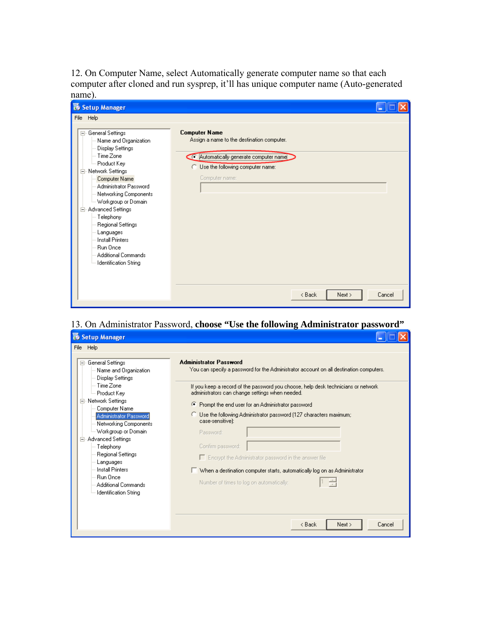12. On Computer Name, select Automatically generate computer name so that each computer after cloned and run sysprep, it'll has unique computer name (Auto-generated name).

| <b>B</b> Setup Manager                                                                                                                                                                                                                                                                                                                                                                     |                                                                                                                                                                                                       |  |
|--------------------------------------------------------------------------------------------------------------------------------------------------------------------------------------------------------------------------------------------------------------------------------------------------------------------------------------------------------------------------------------------|-------------------------------------------------------------------------------------------------------------------------------------------------------------------------------------------------------|--|
| File Help                                                                                                                                                                                                                                                                                                                                                                                  |                                                                                                                                                                                                       |  |
| 日 General Settings<br>Name and Organization<br>Display Settings<br>Time Zone<br>Product Key<br>Network Settings<br>E<br>Computer Name<br>Administrator Password<br>Networking Components<br>Workgroup or Domain<br>Advanced Settings<br>$\Box$<br>-- Telephony<br>Regional Settings<br>Languages<br><b>Install Printers</b><br>Run Once<br>Additional Commands<br>-- Identification String | <b>Computer Name</b><br>Assign a name to the destination computer.<br>Automatically generate computer name<br><b>C</b> Use the following computer name:<br>Computer name:<br>< Back<br>Next<br>Cancel |  |

## 13. On Administrator Password, **choose "Use the following Administrator password"**

| <b>To</b> Setup Manager                                                                                                                                                                                                                                                                                                                                                                                 |                                                                                                                                                                                                                                                                                                                                                                                                                                                                                                                                                                                                                                                                          |
|---------------------------------------------------------------------------------------------------------------------------------------------------------------------------------------------------------------------------------------------------------------------------------------------------------------------------------------------------------------------------------------------------------|--------------------------------------------------------------------------------------------------------------------------------------------------------------------------------------------------------------------------------------------------------------------------------------------------------------------------------------------------------------------------------------------------------------------------------------------------------------------------------------------------------------------------------------------------------------------------------------------------------------------------------------------------------------------------|
| File Help                                                                                                                                                                                                                                                                                                                                                                                               |                                                                                                                                                                                                                                                                                                                                                                                                                                                                                                                                                                                                                                                                          |
| General Settings<br>E<br>Name and Organization<br>Display Settings<br>Time Zone<br>Product Kev<br>Network Settings<br>E<br>Computer Name<br>Administrator Password<br>Networking Components<br>-- Workgroup or Domain<br>Advanced Settings<br>Ė<br>--- Telephony<br>Regional Settings<br>Languages<br><b>Install Printers</b><br><b>Bun Once</b><br>Additional Commands<br><b>Identification String</b> | <b>Administrator Password</b><br>You can specify a password for the Administrator account on all destination computers.<br>If you keep a record of the password you choose, help desk technicians or network.<br>administrators can change settings when needed.<br>Prompt the end user for an Administrator password<br>Œ.<br>Use the following Administrator password (127 characters maximum;<br>case-sensitive):<br>Password:<br>Confirm password:<br>$\Box$ Encrypt the Administrator password in the answer file<br>$\overline{\phantom{a}}$ When a destination computer starts, automatically log on as Administrator<br>Number of times to log on automatically: |
|                                                                                                                                                                                                                                                                                                                                                                                                         | Cancel<br>< Back<br>Next >                                                                                                                                                                                                                                                                                                                                                                                                                                                                                                                                                                                                                                               |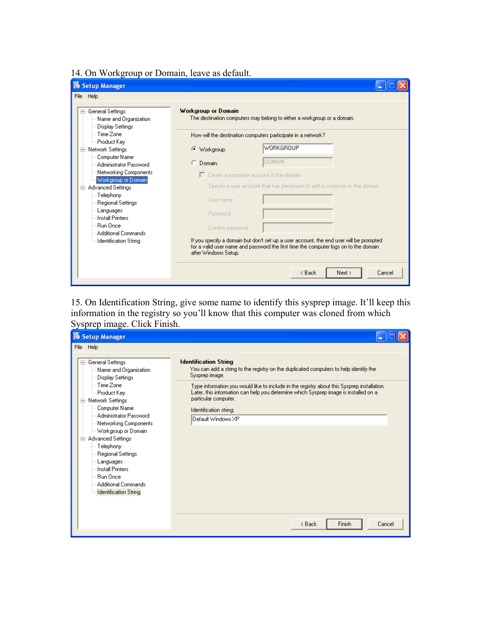14. On Workgroup or Domain, leave as default.

| Setup Manager                                                      |                                                              |                                                                                                                                                                                |
|--------------------------------------------------------------------|--------------------------------------------------------------|--------------------------------------------------------------------------------------------------------------------------------------------------------------------------------|
| File Help                                                          |                                                              |                                                                                                                                                                                |
| General Settings<br>F<br>Name and Organization<br>Display Settings | <b>Workgroup or Domain</b>                                   | The destination computers may belong to either a workgroup or a domain.                                                                                                        |
| Time Zone                                                          | How will the destination computers participate in a network? |                                                                                                                                                                                |
| Product Kev                                                        | Œ                                                            | <b>WORKGROUP</b>                                                                                                                                                               |
| Network Settings<br>Θ<br>Computer Name                             | Workgroup:                                                   |                                                                                                                                                                                |
| Administrator Password                                             | Domain:                                                      | DOMAIN                                                                                                                                                                         |
| Networking Components                                              |                                                              | $\Box$ Create a computer account in the domain                                                                                                                                 |
| Workgroup or Domain<br>Advanced Settings<br>Ē                      |                                                              | Specify a user account that has permission to add a computer to the domain.                                                                                                    |
| Telephony                                                          |                                                              |                                                                                                                                                                                |
| Regional Settings                                                  | User name:                                                   |                                                                                                                                                                                |
| Languages<br><b>Install Printers</b>                               | Password:                                                    |                                                                                                                                                                                |
| <b>Bun Once</b><br>Additional Commands                             | Confirm password:                                            |                                                                                                                                                                                |
| <b>Identification String</b>                                       | after Windows Setup.                                         | If you specify a domain but don't set up a user account, the end user will be prompted<br>for a valid user name and password the first time the computer logs on to the domain |
|                                                                    |                                                              | < Back<br>Next ><br>Cancel                                                                                                                                                     |

15. On Identification String, give some name to identify this sysprep image. It'll keep this information in the registry so you'll know that this computer was cloned from which Sysprep image. Click Finish.

| File Help                                                                                                                                                                                                                                                                                                                                                                                                                                                                                                                                                                                                                                                                                                                                                                                                                                             |
|-------------------------------------------------------------------------------------------------------------------------------------------------------------------------------------------------------------------------------------------------------------------------------------------------------------------------------------------------------------------------------------------------------------------------------------------------------------------------------------------------------------------------------------------------------------------------------------------------------------------------------------------------------------------------------------------------------------------------------------------------------------------------------------------------------------------------------------------------------|
| <b>Identification String</b><br>General Settings<br>$\Box$<br>You can add a string to the registry on the duplicated computers to help identify the<br>Name and Organization<br>Sysprep image.<br>Display Settings<br>– Time Zone<br>Type information you would like to include in the registry about this Sysprep installation.<br>Later, this information can help you determine which Sysprep image is installed on a<br>Product Key<br>particular computer.<br>Network Settings<br>E<br>Computer Name<br>Identification string:<br>Administrator Password<br>Default Windows XP<br>Networking Components<br>- Workgroup or Domain<br>Advanced Settings<br>Θ<br>--- Telephony<br>Regional Settings<br>Languages<br><b>Install Printers</b><br><b>Bun Once</b><br>Additional Commands<br><b>Identification String</b><br>Finish<br>< Back<br>Cancel |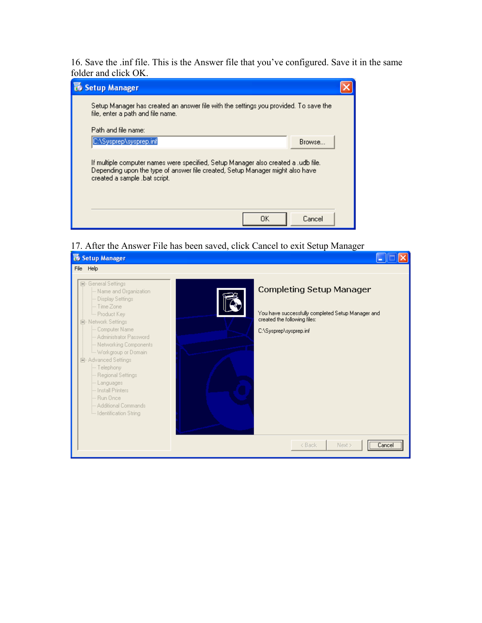16. Save the .inf file. This is the Answer file that you've configured. Save it in the same folder and click OK.



17. After the Answer File has been saved, click Cancel to exit Setup Manager

| <b>B</b> Setup Manager                                                                                                                                                                                                                                                                                                                                                                            |                                                                                                                                                                              |
|---------------------------------------------------------------------------------------------------------------------------------------------------------------------------------------------------------------------------------------------------------------------------------------------------------------------------------------------------------------------------------------------------|------------------------------------------------------------------------------------------------------------------------------------------------------------------------------|
| File Help                                                                                                                                                                                                                                                                                                                                                                                         |                                                                                                                                                                              |
| 日 General Settings<br>Mame and Organization<br>- Display Settings<br>- Time Zone<br>- Product Key<br>白 Network Settings<br>- Computer Name<br>- Administrator Password<br>- Networking Components<br>i Workgroup or Domain<br>白· Advanced Settings<br>- Telephony<br>-- Regional Settings<br>Languages<br>-- Install Printers<br>-- Run Once<br>- Additional Commands<br>In Identification String | <b>Completing Setup Manager</b><br>You have successfully completed Setup Manager and<br>created the following files:<br>C:\Sysprep\sysprep.inf<br>Cancel<br>Next ><br>< Back |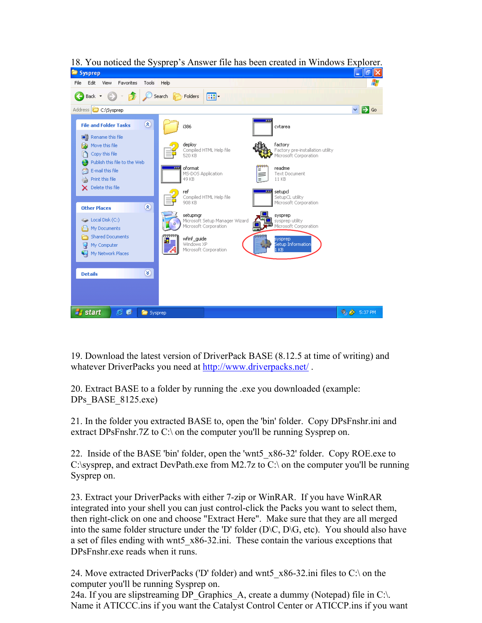

18. You noticed the Sysprep's Answer file has been created in Windows Explorer.

19. Download the latest version of DriverPack BASE (8.12.5 at time of writing) and whatever DriverPacks you need at <http://www.driverpacks.net/>.

20. Extract BASE to a folder by running the .exe you downloaded (example: DPs BASE 8125.exe)

21. In the folder you extracted BASE to, open the 'bin' folder. Copy DPsFnshr.ini and extract DPsFnshr.7Z to C:\ on the computer you'll be running Sysprep on.

22. Inside of the BASE 'bin' folder, open the 'wnt5 x86-32' folder. Copy ROE.exe to C:\sysprep, and extract DevPath.exe from M2.7z to C:\ on the computer you'll be running Sysprep on.

3. Extract your DriverPacks with either 7-zip or WinRAR. If you have WinRAR 2 integrated into your shell you can just control-click the Packs you want to select them, into the same folder structure under the 'D' folder  $(D\setminus C, D\setminus G,$  etc). You should also have then right-click on one and choose "Extract Here". Make sure that they are all merged a set of files ending with wnt5 x86-32.ini. These contain the various exceptions that DPsFnshr.exe reads when it runs.

24. Move extracted DriverPacks ('D' folder) and wnt5\_x86-32.ini files to C:\ on the computer you'll be running Sysprep on.

24a. If you are slipstreaming DP\_Graphics\_A, create a dummy (Notepad) file in C:\. Name it ATICCC.ins if you want the Catalyst Control Center or ATICCP.ins if you want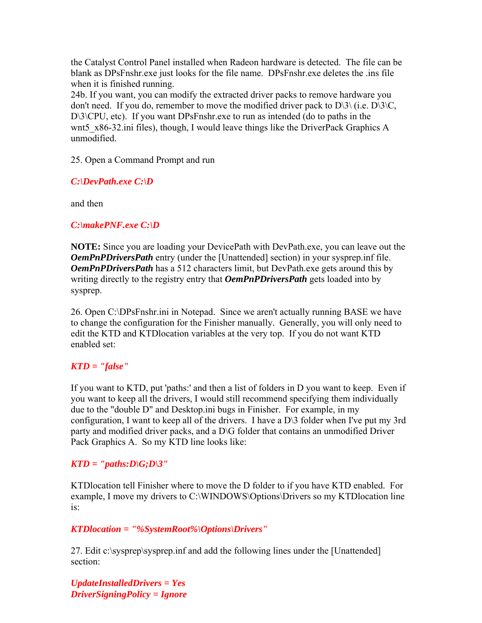the Catalyst Control Panel installed when Radeon hardware is detected. The file can b e blank as DPsFnshr.exe just looks for the file name. DPsFnshr.exe deletes the .ins file when it is finished running.

24b. If you want, you can modify the extracted driver packs to remove hardware you don't need. If you do, remember to move the modified driver pack to  $D\langle 3 \rangle$  (i.e.  $D\langle 3 \rangle C$ , D\3\CPU, etc). If you want DPsFnshr.exe to run as intended (do to paths in the wnt5 x86-32.ini files), though, I would leave things like the DriverPack Graphics A unmodified.

25. Open a Command Prompt and run

*C:\DevPath.exe C:\D* 

and then

## *NF.exe C:\D C:\makeP*

**NOTE:** Since you are loading your DevicePath with DevPath.exe, you can leave out the *OemPnPDriversPath* entry (under the [Unattended] section) in your sysprep.inf file. *OemPnPDriversPath* has a 512 characters limit, but DevPath.exe gets around this by writing directly to the registry entry that *OemPnPDriversPath* gets loaded into by sysprep.

26. Open C:\DPsFnshr.ini in Notepad. Since we aren't actually running BASE we have to change the configuration for the Finisher manually. Generally, you will only need to edit the KTD and KTDlocation variables at the very top. If you do not want KTD enabled set:

## *" KTD = "false*

If you want to KTD, put 'paths:' and then a list of folders in D you want to keep. Even if you want to keep all the drivers, I would still recommend specifying them individually party and modified driver packs, and a  $D\backslash G$  folder that contains an unmodified Driver due to the "double D" and Desktop.ini bugs in Finisher. For example, in my configuration, I want to keep all of the drivers. I have a D\3 folder when I've put my 3rd Pack Graphics A. So my KTD line looks like:

## $KTD = "paths:D\setminus G; D\setminus 3"$

KTDlocation tell Finisher where to move the D folder to if you have KTD enabled. For example, I move my drivers to C:\WINDOWS\Options\Drivers so my KTDlocation line is:

## *kTDlocation = "%SystemRoot%\Options\Drivers"*

27. Edit c:\sysprep\sysprep.inf and add the following lines under the [Unattended] section:

*UpdateInstalledDrivers = Yes DriverSigningPolicy = Ignore*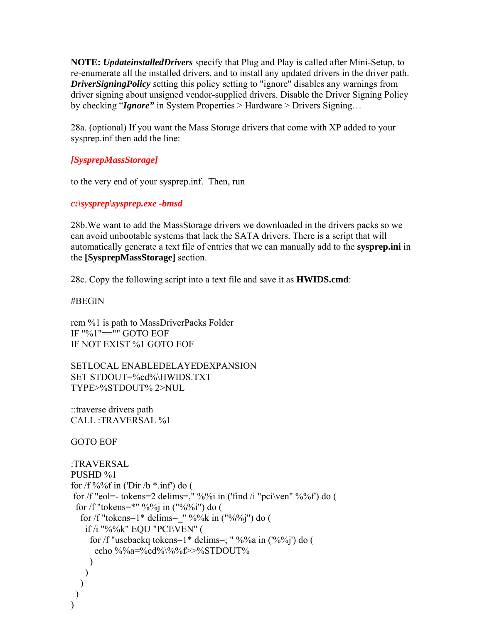**NOTE:** *UpdateinstalledDrivers* specify that Plug and Play is called after Mini-Setup, to driver signing about unsigned vendor-supplied drivers. Disable the Driver Signing Policy re-enumerate all the installed drivers, and to install any updated drivers in the driver path. *DriverSigningPolicy s*etting this policy setting to "ignore" disables any warnings from by checking "*Ignore"* in System Properties > Hardware > Drivers Signing…

28a. (optional) If you want the Mass Storage drivers that come with XP added to your sysprep.inf then add the line:

## *ysprepMassStorage] [S*

to the very end of your sysprep.inf. Then, run

## *:\sysprep\sysprep.exe -bmsd c*

28b. We want to add the MassStorage drivers we downloaded in the drivers packs so we automatically generate a text file of entries that we can manually add to the **sysprep.ini** in can avoid unbootable systems that lack the SATA drivers. There is a script that will the **[SysprepMassStorage]** section.

8c. Copy the following script into a text file and save it as **HWIDS.cmd**: 2

BEGIN #

rem %1 is path to MassDriverPacks Folder IF NOT EXIST %1 GOTO EOF IF "%1"=="" GOTO EOF

SETLOCAL ENABLEDELAYEDEXPANSION SET STDOUT=%cd%\HWIDS.TXT TYPE>%STDOUT% 2>NUL

::traverse drivers path CALL :TRAVERSAL %1

OTO EOF G

```
:TRAVERSAL
for /f %%f in ('Dir /b *.inf') do (
for /f "eol=- tokens=2 delims=," %%i in ('find /i "pci\ven" %%f') do (
for /f "tokens=1* delims=_" %%k in ("%%j") do (
for /f "usebackq tokens=1* delims=; " %%a in (^{\circ}\!\!/\circ\!\!/\circ\!\!/\circ) do (
PUSHD %1 
 for /f "tokens=*" %%j in ("%%i") do (
    if /i "%%k" EQU "PCI\VEN" ( 
      echo %%a=%cd%\%%f>>%STDOUT%
     ) 
   \mathcal{L}\mathcal{L} ) 
)
```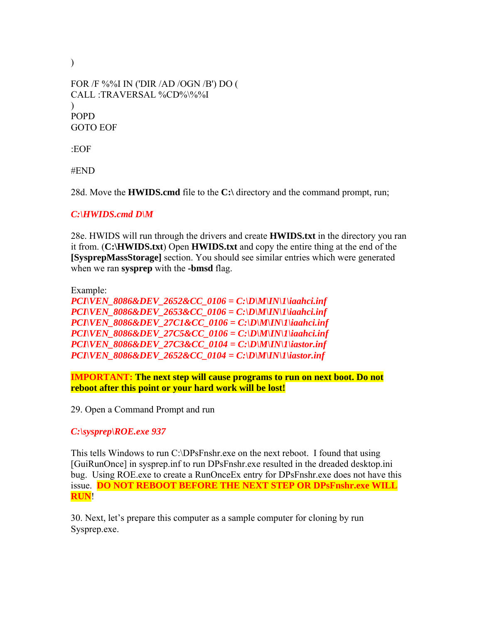```
FOR /F %%I IN ('DIR /AD /OGN /B') DO ( 
POPD
GOTO EOF
CALL :TRAVERSAL %CD%\%%I 
\lambda
```
:EOF

 $\mathcal{L}$ 

END #

28d. Move the **HWIDS.cmd** file to the C:\ directory and the command prompt, run;

## *:\HWIDS.cmd D\M C*

28e. HWIDS will run through the drivers and create **HWIDS.txt** in the directory you ran it from. (**C:\HWIDS.txt**) Open **HWIDS.txt** and copy the entire thing at the end of the **[SysprepMassStorage]** section. You should see similar entries which were generated when we ran **sysprep** with the **-bmsd** flag.

Example:

*8086&DEV\_2652&CC\_0106 = C:\D\M\IN\1\iaahci.inf PCI\VEN\_ PCI\VEN\_8086&DEV\_2653&CC\_0106 = C:\D\M\IN\1\iaahci.inf PCI\VEN\_8086&DEV\_27C1&CC\_0106 = C:\D\M\IN\1\iaahci.inf PCI\VEN\_8086&DEV\_27C5&CC\_0106 = C:\D\M\IN\1\iaahci.inf PCI\VEN\_8086&DEV\_27C3&CC\_0104 = C:\D\M\IN\1\iastor.inf PCI\VEN\_8086&DEV\_2652&CC\_0104 = C:\D\M\IN\1\iastor.inf*

**IMPORTANT: The next step will cause programs to run on next boot. Do not reboot after this point or your hard work will be lost!** 

29. Open a Command Prompt and run

*:\sysprep\ROE.exe 937 C*

This tells Windows to run C:\DPsFnshr.exe on the next reboot. I found that using [GuiRunOnce] in sysprep.inf to run DPsFnshr.exe resulted in the dreaded desktop.ini bug. Using ROE.exe to create a RunOnceEx entry for DPsFnshr.exe does not have this issue. **DO NOT REBOOT BEFORE THE NEXT STEP OR DPsFnshr.exe WILL RUN**!

30. Next, let's prepare this computer as a sample computer for cloning by run Sysprep.exe.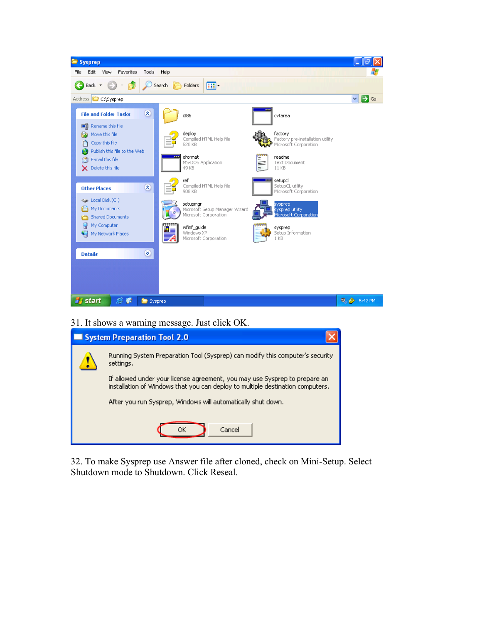

31. It shows a warning message. Just click OK.

| System Preparation Tool 2.0 |                                                                                                                                                               |  |  |
|-----------------------------|---------------------------------------------------------------------------------------------------------------------------------------------------------------|--|--|
|                             | Running System Preparation Tool (Sysprep) can modify this computer's security<br>settings.                                                                    |  |  |
|                             | If allowed under your license agreement, you may use Sysprep to prepare an-<br>installation of Windows that you can deploy to multiple destination computers. |  |  |
|                             | After you run Sysprep, Windows will automatically shut down.                                                                                                  |  |  |
|                             | Cancel<br>ОΚ                                                                                                                                                  |  |  |

32. To make Sysprep use Answer file after cloned, check on Mini-Setup. Select Shutdown mode to Shutdown. Click Reseal.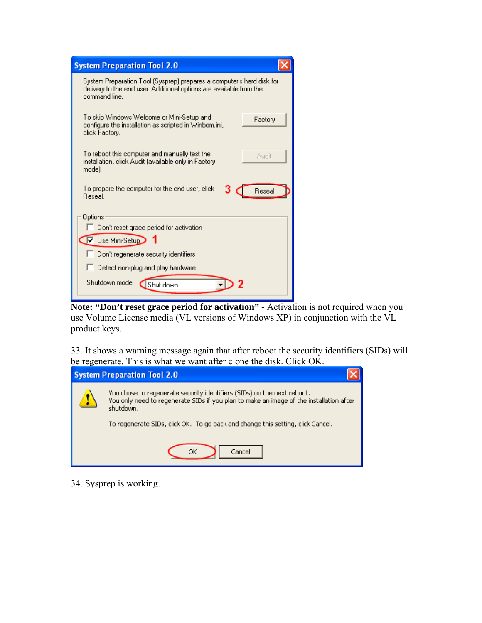| <b>System Preparation Tool 2.0</b>                                                                                                                            |  |  |  |
|---------------------------------------------------------------------------------------------------------------------------------------------------------------|--|--|--|
| System Preparation Tool (Sysprep) prepares a computer's hard disk for<br>delivery to the end user. Additional options are available from the<br>command line. |  |  |  |
| To skip Windows Welcome or Mini-Setup and<br>Factory<br>configure the installation as scripted in Winbom.ini,<br>click Factory.                               |  |  |  |
| To reboot this computer and manually test the<br>Audit<br>installation, click Audit (available only in Factory<br>mode).                                      |  |  |  |
| To prepare the computer for the end user, click<br>Reseal<br><b>Reseal</b>                                                                                    |  |  |  |
| Options                                                                                                                                                       |  |  |  |
| Don't reset grace period for activation                                                                                                                       |  |  |  |
| $\overline{\triangledown}$ Use Mini-Setup                                                                                                                     |  |  |  |
| Don't regenerate security identifiers                                                                                                                         |  |  |  |
| Detect non-plug and play hardware                                                                                                                             |  |  |  |
| Shutdown mode:<br>Shut down                                                                                                                                   |  |  |  |

Note: "Don't reset grace period for activation" - Activation is not required when you use Volume License media (VL versions of Windows XP) in conjunction with the VL product keys.

33. It shows a warning message again that after reboot the security identifiers (SIDs) will be regenerate. This is what we want after clone the disk. Click OK.

| <b>System Preparation Tool 2.0</b> |                                                                                                                                                                                 |  |  |
|------------------------------------|---------------------------------------------------------------------------------------------------------------------------------------------------------------------------------|--|--|
|                                    | You chose to regenerate security identifiers (SIDs) on the next reboot.<br>You only need to regenerate SIDs if you plan to make an image of the installation after<br>shutdown. |  |  |
|                                    | To regenerate SIDs, click OK. To go back and change this setting, click Cancel.                                                                                                 |  |  |
|                                    | Cancel                                                                                                                                                                          |  |  |

34. Sysprep is working.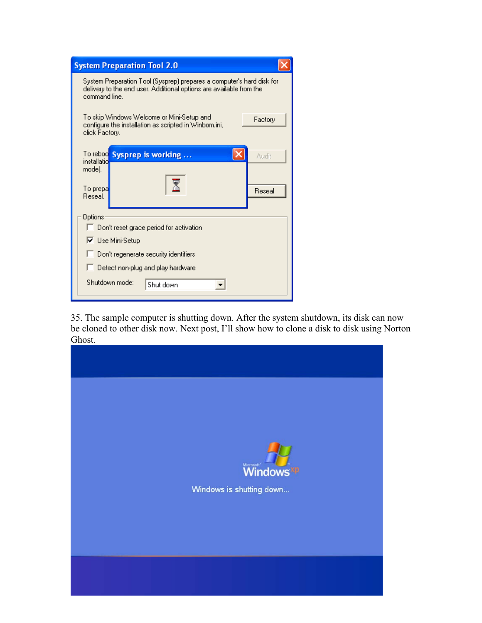| <b>System Preparation Tool 2.0</b>                                                                                                                            |                    |        |  |  |  |
|---------------------------------------------------------------------------------------------------------------------------------------------------------------|--------------------|--------|--|--|--|
| System Preparation Tool (Sysprep) prepares a computer's hard disk for<br>delivery to the end user. Additional options are available from the<br>command line. |                    |        |  |  |  |
| To skip Windows Welcome or Mini-Setup and<br>Factory<br>configure the installation as scripted in Winbom.ini,<br>click Factory.                               |                    |        |  |  |  |
| To reboo<br>installatio                                                                                                                                       | Sysprep is working | Audit  |  |  |  |
| mode).                                                                                                                                                        |                    |        |  |  |  |
| To prepa<br><b>Beseal</b>                                                                                                                                     |                    | Reseal |  |  |  |
| Options                                                                                                                                                       |                    |        |  |  |  |
| Don't reset grace period for activation                                                                                                                       |                    |        |  |  |  |
| <b>▽</b> Use Mini-Setup                                                                                                                                       |                    |        |  |  |  |
| Don't regenerate security identifiers                                                                                                                         |                    |        |  |  |  |
| Detect non-plug and play hardware                                                                                                                             |                    |        |  |  |  |
| Shutdown mode:<br>Shut down                                                                                                                                   |                    |        |  |  |  |

35. The sample computer is shutting down. After the system shutdown, its disk can now be cloned to other disk now. Next post, I'll show how to clone a disk to disk using Norton Ghost.

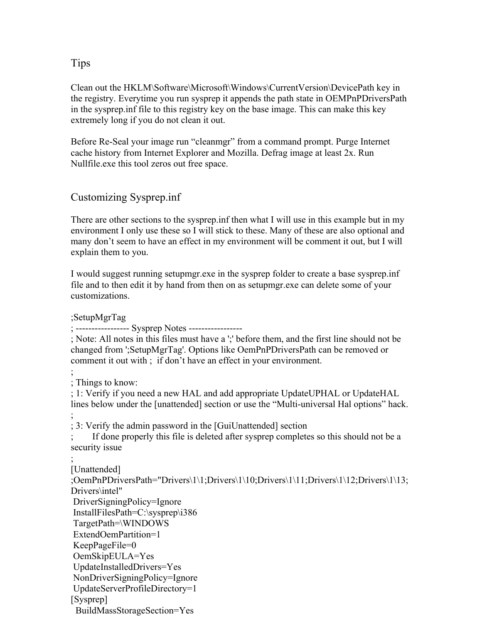## Tips

Clean out the HKLM\Software\Microsoft\Windows\CurrentVersion\DevicePath key in the registry. Everytime you run sysprep it appends the path state in OEMPnPDriversPath in the sysprep.inf file to this registry key on the base image. This can make this key extremely long if you do not clean it out.

Before Re-Seal your image run "cleanmgr" from a command prompt. Purge Internet cache history from Internet Explorer and Mozilla. Defrag image at least 2x. Run Nullfile.exe this tool zeros out free space.

# Customizing Sysprep.inf

;SetupMgrTag

There are other sections to the sysprep.inf then what I will use in this example but in my environment I only use these so I will stick to these. Many of these are also optional and many don't seem to have an effect in my environment will be comment it out, but I will explain them to you.

I would suggest running setupmgr.exe in the sysprep folder to create a base sysprep.inf file and to then edit it by hand from then on as setupmgr.exe can delete some of your customizations.

; ----------------- Sysprep Notes ----------------- ; Note: All notes in this files must have a ';' before them, and the first line should not be changed from ';SetupMgrTag'. Options like OemPnPDriversPath can be removed or comment it out with ; if don't have an effect in your environment. ;<br>, ; Things to know: ; 1: Verify if you need a new HAL and add appropriate UpdateUPHAL or UpdateHAL lines below under the [unattended] section or use the "Multi-universal Hal options" hack. ;<br>, ; 3: Verify the admin password in the [GuiUnattended] section If done properly this file is deleted after sysprep completes so this should not be a security issue ;<br>, [Unattended] ;OemPnPDriversPath="Drivers\1\1;Drivers\1\10;Drivers\1\11;Drivers\1\12;Drivers\1\13; Drivers\intel" DriverSigningPolicy=Ignore InstallFilesPath=C:\sysprep\i386 TargetPath=\WINDOWS ExtendOemPartition=1 KeepPageFile=0 OemSkipEULA=Yes UpdateInstalledDrivers=Yes NonDriverSigningPolicy=Ignore UpdateServerProfileDirectory=1 [Sysprep] BuildMassStorageSection=Yes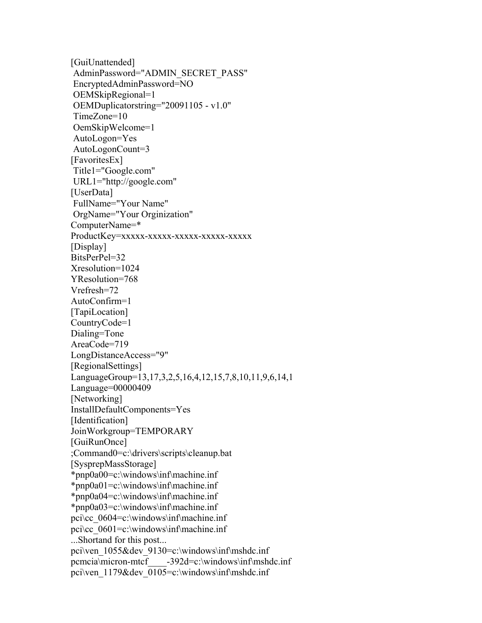[GuiUnattended] AdminPassword="ADMIN\_SECRET\_PASS" EncryptedAdminPassword=NO OEMSkipRegional=1 OEMDuplicatorstring="20091105 - v1.0" TimeZone=10 OemSkipWelcome=1 AutoLogon=Yes AutoLogonCount=3 [FavoritesEx] Title1="Google.com" URL1="http://google.com" [UserData] FullName="Your Name" OrgName="Your Orginization" ComputerName=\* ProductKey=xxxxx-xxxxx-xxxxx-xxxxx-xxxxx [Display] BitsPerPel=32 Xresolution=1024 YResolution=768 Vrefresh=72 AutoConfirm=1 [TapiLocation] CountryCode=1 Dialing=Tone AreaCode=719 LongDistanceAccess="9" [RegionalSettings] LanguageGroup=13,17,3,2,5,16,4,12,15,7,8,10,11,9,6,14,1 Language=00000409 [Networking] InstallDefaultComponents=Yes [Identification] JoinWorkgroup=TEMPORARY [GuiRunOnce] ;Command0=c:\drivers\scripts\cleanup.bat [SysprepMassStorage] \*pnp0a00=c:\windows\inf\machine.inf \*pnp0a01=c:\windows\inf\machine.inf \*pnp0a04=c:\windows\inf\machine.inf \*pnp0a03=c:\windows\inf\machine.inf pci\cc\_0604=c:\windows\inf\machine.inf pci\cc\_0601=c:\windows\inf\machine.inf ...Shortand for this post... pci\ven\_1055&dev\_9130=c:\windows\inf\mshdc.inf pcmcia\micron-mtcf\_\_\_\_-392d=c:\windows\inf\mshdc.inf pci\ven\_1179&dev\_0105=c:\windows\inf\mshdc.inf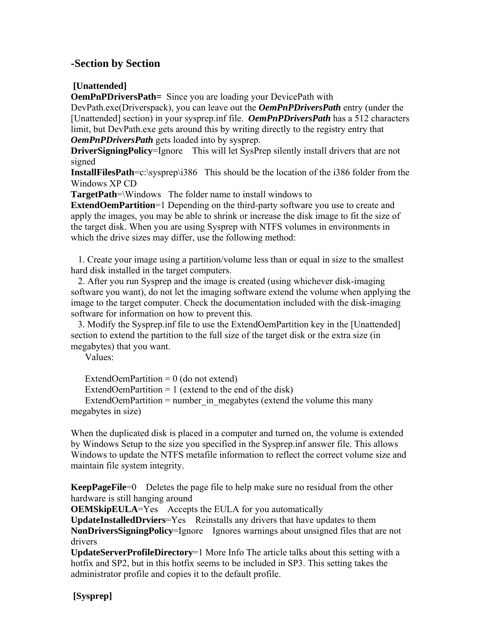# **-Section by Section**

## **[Unattended]**

**OemPnPDriversPath**= Since you are loading your DevicePath with

DevPath.exe(Driverspack), you can leave out the *OemPnPDriversPath* entry (under the [Unattended] section) in your sysprep.inf file. *OemPnPDriversPath* has a 512 characters limit, but DevPath.exe gets around this by writing directly to the registry entry that *OemPnPDriversPath* gets loaded into by sysprep.

**DriverSigningPolicy=Ignore** This will let SysPrep silently install drivers that are not signed

**InstallFilesPath=c:**\sysprep\i386 This should be the location of the i386 folder from the Windows XP CD

**TargetPath**=\Windows The folder name to install windows to

**ExtendOemPartition**=1 Depending on the third-party software you use to create and apply the images, you may be able to shrink or increase the disk image to fit the size of the target disk. When you are using Sysprep with NTFS volumes in environments in which the drive sizes may differ, use the following method:

 1. Create your image using a partition/volume less than or equal in size to the smallest hard disk installed in the target computers.

 2. After you run Sysprep and the image is created (using whichever disk-imaging software you want), do not let the imaging software extend the volume when applying the image to the target computer. Check the documentation included with the disk-imaging software for information on how to prevent this.

 3. Modify the Sysprep.inf file to use the ExtendOemPartition key in the [Unattended] section to extend the partition to the full size of the target disk or the extra size (in megabytes) that you want.

Values:

ExtendOemPartition  $= 0$  (do not extend)

ExtendOemPartition  $= 1$  (extend to the end of the disk)

ExtendOemPartition = number in megabytes (extend the volume this many megabytes in size)

When the duplicated disk is placed in a computer and turned on, the volume is extended by Windows Setup to the size you specified in the Sysprep.inf answer file. This allows Windows to update the NTFS metafile information to reflect the correct volume size and maintain file system integrity.

**KeepPageFile**=0 Deletes the page file to help make sure no residual from the other hardware is still hanging around

**OEMSkipEULA=Yes** Accepts the EULA for you automatically

**UpdateInstalledDrviers**=Yes Reinstalls any drivers that have updates to them **NonDriversSigningPolicy**=Ignore Ignores warnings about unsigned files that are not drivers

**UpdateServerProfileDirectory**=1 More Info The article talks about this setting with a hotfix and SP2, but in this hotfix seems to be included in SP3. This setting takes the administrator profile and copies it to the default profile.

 **[Sysprep]**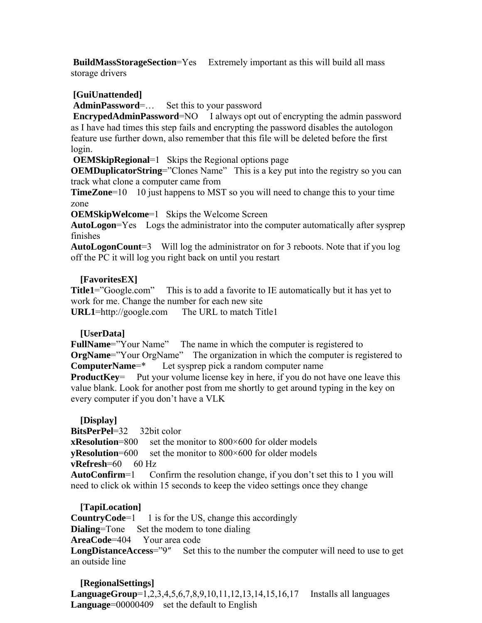**BuildMassStorageSection**=Yes Extremely important as this will build all mass storage drivers

### **[GuiUnattended]**

**AdminPassword**=… Set this to your password

**EncrypedAdminPassword=NO** I always opt out of encrypting the admin password as I have had times this step fails and encrypting the password disables the autologon feature use further down, also remember that this file will be deleted before the first login.

**OEMSkipRegional**=1 Skips the Regional options page

**OEMDuplicatorString=**"Clones Name" This is a key put into the registry so you can track what clone a computer came from

**TimeZone**=10 10 just happens to MST so you will need to change this to your time zone

**OEMSkipWelcome**=1 Skips the Welcome Screen

**AutoLogon**=Yes Logs the administrator into the computer automatically after sysprep finishes

**AutoLogonCount**=3 Will log the administrator on for 3 reboots. Note that if you log off the PC it will log you right back on until you restart

#### **[FavoritesEX]**

**Title1**<sup>=</sup>"Google.com" This is to add a favorite to IE automatically but it has yet to work for me. Change the number for each new site **URL1**=http://google.com The URL to match Title1

#### **[UserData]**

**FullName**="Your Name" The name in which the computer is registered to **OrgName**<sup>-\*\*</sup>Your OrgName<sup>\*\*</sup> The organization in which the computer is registered to **ComputerName**=\* Let sysprep pick a random computer name **ProductKey** Put your volume license key in here, if you do not have one leave this value blank. Look for another post from me shortly to get around typing in the key on every computer if you don't have a VLK

#### **[Display]**

**BitsPerPel**=32 32bit color **xResolution**=800 set the monitor to 800×600 for older models **yResolution**=600 set the monitor to 800×600 for older models **vRefresh=60** 60 Hz **AutoConfirm**=1 Confirm the resolution change, if you don't set this to 1 you will need to click ok within 15 seconds to keep the video settings once they change

#### **[TapiLocation]**

**CountryCode**=1 1 is for the US, change this accordingly **Dialing=Tone** Set the modem to tone dialing **AreaCode**=404 Your area code **LongDistanceAccess**="9" Set this to the number the computer will need to use to get an outside line

 **[RegionalSettings] LanguageGroup**=1,2,3,4,5,6,7,8,9,10,11,12,13,14,15,16,17 Installs all languages **Language**=00000409 set the default to English